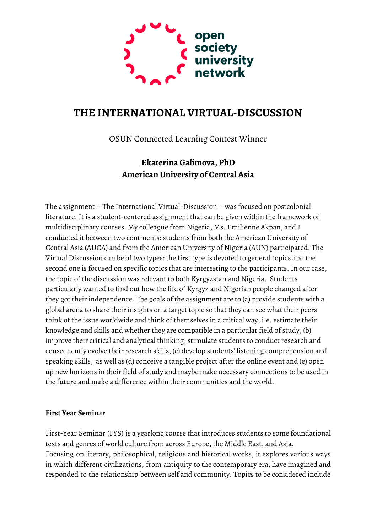

# **THE INTERNATIONAL VIRTUAL-DISCUSSION**

OSUN Connected Learning Contest Winner

# **Ekaterina Galimova, PhD American University of Central Asia**

The assignment – The International Virtual-Discussion – was focused on postcolonial literature. It is a student-centered assignment that can be given within the framework of multidisciplinary courses. My colleague from Nigeria, Ms. Emilienne Akpan, and I conducted it between two continents: students from both the American University of Central Asia (AUCA) and from the American University of Nigeria (AUN) participated. The Virtual Discussion can be of two types: the first type is devoted to general topics and the second one is focused on specific topics that are interesting to the participants. In our case, the topic of the discussion was relevant to both Kyrgyzstan and Nigeria. Students particularly wanted to find out how the life of Kyrgyz and Nigerian people changed after they got their independence. The goals of the assignment are to (a) provide students with a global arena to share their insights on a target topic so that they can see what their peers think of the issue worldwide and think of themselves in a critical way, i.e. estimate their knowledge and skills and whether they are compatible in a particular field of study, (b) improve their critical and analytical thinking, stimulate students to conduct research and consequently evolve their research skills, (c) develop students' listening comprehension and speaking skills, as well as (d) conceive a tangible project after the online event and (e) open up new horizons in their field of study and maybe make necessary connections to be used in the future and make a difference within their communities and the world.

## **First Year Seminar**

First-Year Seminar (FYS) is a yearlong course that introduces students to some foundational texts and genres of world culture from across Europe, the Middle East, and Asia. Focusing on literary, philosophical, religious and historical works, it explores various ways in which different civilizations, from antiquity to the contemporary era, have imagined and responded to the relationship between self and community. Topics to be considered include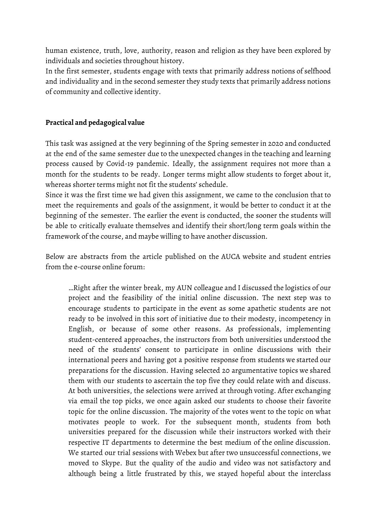human existence, truth, love, authority, reason and religion as they have been explored by individuals and societies throughout history.

In the first semester, students engage with texts that primarily address notions of selfhood and individuality and in the second semester they study texts that primarily address notions of community and collective identity.

## **Practical and pedagogical value**

This task was assigned at the very beginning of the Spring semester in 2020 and conducted at the end of the same semester due to the unexpected changes in the teaching and learning process caused by Covid-19 pandemic. Ideally, the assignment requires not more than a month for the students to be ready. Longer terms might allow students to forget about it, whereas shorter terms might not fit the students' schedule.

Since it was the first time we had given this assignment, we came to the conclusion that to meet the requirements and goals of the assignment, it would be better to conduct it at the beginning of the semester. The earlier the event is conducted, the sooner the students will be able to critically evaluate themselves and identify their short/long term goals within the framework of the course, and maybe willing to have another discussion.

Below are abstracts from the article published on the AUCA website and student entries from the e-course online forum:

…Right after the winter break, my AUN colleague and I discussed the logistics of our project and the feasibility of the initial online discussion. The next step was to encourage students to participate in the event as some apathetic students are not ready to be involved in this sort of initiative due to their modesty, incompetency in English, or because of some other reasons. As professionals, implementing student-centered approaches, the instructors from both universities understood the need of the students' consent to participate in online discussions with their international peers and having got a positive response from students we started our preparations for the discussion. Having selected 20 argumentative topics we shared them with our students to ascertain the top five they could relate with and discuss. At both universities, the selections were arrived at through voting. After exchanging via email the top picks, we once again asked our students to choose their favorite topic for the online discussion. The majority of the votes went to the topic on what motivates people to work. For the subsequent month, students from both universities prepared for the discussion while their instructors worked with their respective IT departments to determine the best medium of the online discussion. We started our trial sessions with Webex but after two unsuccessful connections, we moved to Skype. But the quality of the audio and video was not satisfactory and although being a little frustrated by this, we stayed hopeful about the interclass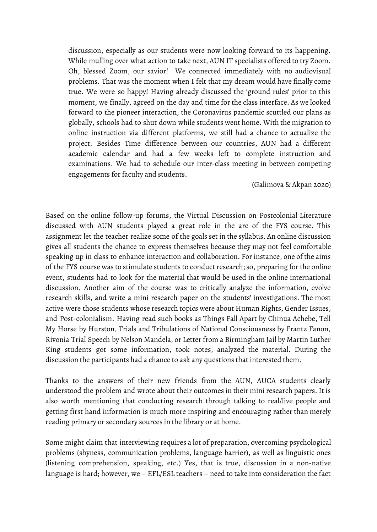discussion, especially as our students were now looking forward to its happening. While mulling over what action to take next, AUN IT specialists offered to try Zoom. Oh, blessed Zoom, our savior! We connected immediately with no audiovisual problems. That was the moment when I felt that my dream would have finally come true. We were so happy! Having already discussed the 'ground rules' prior to this moment, we finally, agreed on the day and time for the class interface. As we looked forward to the pioneer interaction, the Coronavirus pandemic scuttled our plans as globally, schools had to shut down while students went home. With the migration to online instruction via different platforms, we still had a chance to actualize the project. Besides Time difference between our countries, AUN had a different academic calendar and had a few weeks left to complete instruction and examinations. We had to schedule our inter-class meeting in between competing engagements for faculty and students.

#### (Galimova & Akpan 2020)

Based on the online follow-up forums, the Virtual Discussion on Postcolonial Literature discussed with AUN students played a great role in the arc of the FYS course. This assignment let the teacher realize some of the goals set in the syllabus. An online discussion gives all students the chance to express themselves because they may not feel comfortable speaking up in class to enhance interaction and collaboration. For instance, one of the aims of the FYS course was to stimulate students to conduct research; so, preparing for the online event, students had to look for the material that would be used in the online international discussion. Another aim of the course was to critically analyze the information, evolve research skills, and write a mini research paper on the students' investigations. The most active were those students whose research topics were about Human Rights, Gender Issues, and Post-colonialism. Having read such books as Things Fall Apart by Chinua Achebe, Tell My Horse by Hurston, Trials and Tribulations of National Consciousness by Frantz Fanon, Rivonia Trial Speech by Nelson Mandela, or Letter from a Birmingham Jail by Martin Luther King students got some information, took notes, analyzed the material. During the discussion the participants had a chance to ask any questions that interested them.

Thanks to the answers of their new friends from the AUN, AUCA students clearly understood the problem and wrote about their outcomes in their mini research papers. It is also worth mentioning that conducting research through talking to real/live people and getting first hand information is much more inspiring and encouraging rather than merely reading primary or secondary sources in the library or at home.

Some might claim that interviewing requires a lot of preparation, overcoming psychological problems (shyness, communication problems, language barrier), as well as linguistic ones (listening comprehension, speaking, etc.) Yes, that is true, discussion in a non-native language is hard; however, we – EFL/ESL teachers – need to take into consideration the fact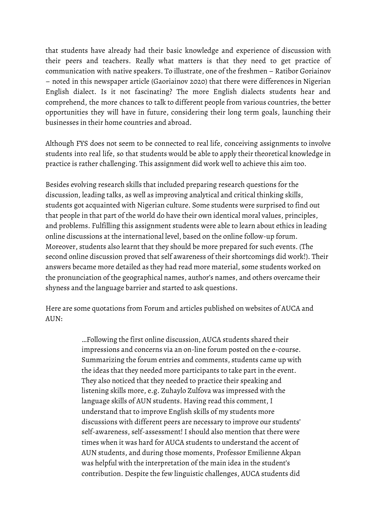that students have already had their basic knowledge and experience of discussion with their peers and teachers. Really what matters is that they need to get practice of communication with native speakers. To illustrate, one of the freshmen – Ratibor Goriainov – noted in this newspaper article (Gaoriainov 2020) that there were differences in Nigerian English dialect. Is it not fascinating? The more English dialects students hear and comprehend, the more chances to talk to different people from various countries, the better opportunities they will have in future, considering their long term goals, launching their businesses in their home countries and abroad.

Although FYS does not seem to be connected to real life, conceiving assignments to involve students into real life, so that students would be able to apply their theoretical knowledge in practice is rather challenging. This assignment did work well to achieve this aim too.

Besides evolving research skills that included preparing research questions for the discussion, leading talks, as well as improving analytical and critical thinking skills, students got acquainted with Nigerian culture. Some students were surprised to find out that people in that part of the world do have their own identical moral values, principles, and problems. Fulfilling this assignment students were able to learn about ethics in leading online discussions at the international level, based on the online follow-up forum. Moreover, students also learnt that they should be more prepared for such events. (The second online discussion proved that self awareness of their shortcomings did work!). Their answers became more detailed as they had read more material, some students worked on the pronunciation of the geographical names, author's names, and others overcame their shyness and the language barrier and started to ask questions.

Here are some quotations from Forum and articles published on websites of AUCA and AUN:

> …Following the first online discussion, AUCA students shared their impressions and concerns via an on-line forum posted on the e-course. Summarizing the forum entries and comments, students came up with the ideas that they needed more participants to take part in the event. They also noticed that they needed to practice their speaking and listening skills more, e.g. Zuhaylo Zulfova was impressed with the language skills of AUN students. Having read this comment, I understand that to improve English skills of my students more discussions with different peers are necessary to improve our students' self-awareness, self-assessment! I should also mention that there were times when it was hard for AUCA students to understand the accent of AUN students, and during those moments, Professor Emilienne Akpan was helpful with the interpretation of the main idea in the student's contribution. Despite the few linguistic challenges, AUCA students did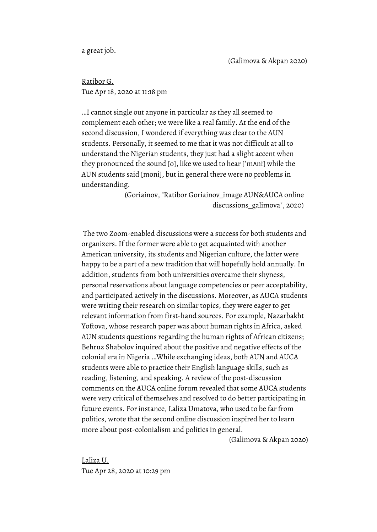a great job.

Ratibor G. Tue Apr 18, 2020 at 11:18 pm

…I cannot single out anyone in particular as they all seemed to complement each other; we were like a real family. At the end of the second discussion, I wondered if everything was clear to the AUN students. Personally, it seemed to me that it was not difficult at all to understand the Nigerian students, they just had a slight accent when they pronounced the sound [o], like we used to hear [ˈmʌni] while the AUN students said [moni], but in general there were no problems in understanding.

> (Goriainov, "Ratibor Goriainov\_image AUN&AUCA online discussions\_galimova", 2020)

The two Zoom-enabled discussions were a success for both students and organizers. If the former were able to get acquainted with another American university, its students and Nigerian culture, the latter were happy to be a part of a new tradition that will hopefully hold annually. In addition, students from both universities overcame their shyness, personal reservations about language competencies or peer acceptability, and participated actively in the discussions. Moreover, as AUCA students were writing their research on similar topics, they were eager to get relevant information from first-hand sources. For example, Nazarbakht Yoftova, whose research paper was about human rights in Africa, asked AUN students questions regarding the human rights of African citizens; Behruz Shabolov inquired about the positive and negative effects of the colonial era in Nigeria …While exchanging ideas, both AUN and AUCA students were able to practice their English language skills, such as reading, listening, and speaking. A review of the post-discussion comments on the AUCA online forum revealed that some AUCA students were very critical of themselves and resolved to do better participating in future events. For instance, Laliza Umatova, who used to be far from politics, wrote that the second online discussion inspired her to learn more about post-colonialism and politics in general.

(Galimova & Akpan 2020)

[Laliza](https://app.schoology.com/user/86543249) U. Tue Apr 28, 2020 at 10:29 pm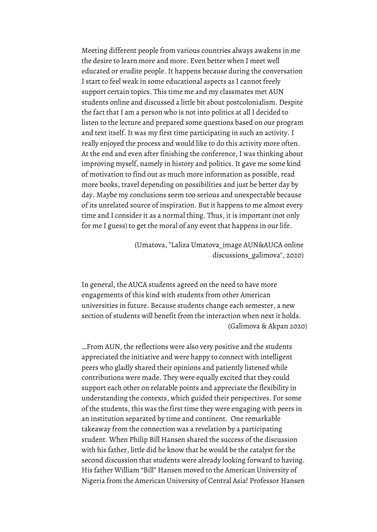Meeting different people from various countries always awakens in me the desire to learn more and more. Even better when I meet well educated or erudite people. It happens because during the conversation I start to feel weak in some educational aspects as I cannot freely support certain topics. This time me and my classmates met AUN students online and discussed a little bit about postcolonialism. Despite the fact that I am a person who is not into politics at all I decided to listen to the lecture and prepared some questions based on our program and text itself. It was my first time participating in such an activity. I really enjoyed the process and would like to do this activity more often. At the end and even after finishing the conference, I was thinking about improving myself, namely in history and politics. It gave me some kind of motivation to find out as much more information as possible, read more books, travel depending on possibilities and just be better day by day. Maybe my conclusions seem too serious and unexpectable because of its unrelated source of inspiration. But it happens to me almost every time and I consider it as a normal thing. Thus, it is important (not only for me I guess) to get the moral of any event that happens in our life.

> (Umatova, "Laliza Umatova\_image AUN&AUCA online discussions\_galimova", 2020)

In general, the AUCA students agreed on the need to have more engagements of this kind with students from other American universities in future. Because students change each semester, a new section of students will benefit from the interaction when next it holds. (Galimova & Akpan 2020)

…From AUN, the reflections were also very positive and the students appreciated the initiative and were happy to connect with intelligent peers who gladly shared their opinions and patiently listened while contributions were made. They were equally excited that they could support each other on relatable points and appreciate the flexibility in understanding the contexts, which guided their perspectives. For some of the students, this was the first time they were engaging with peers in an institution separated by time and continent. One remarkable takeaway from the connection was a revelation by a participating student. When Philip Bill Hansen shared the success of the discussion with his father, little did he know that he would be the catalyst for the second discussion that students were already looking forward to having. His father William "Bill" Hansen moved to the American University of Nigeria from the American University of Central Asia! Professor Hansen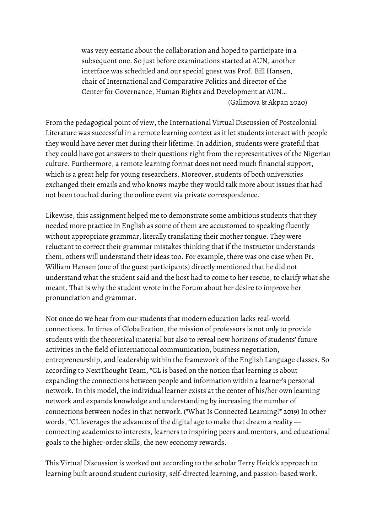was very ecstatic about the collaboration and hoped to participate in a subsequent one. So just before examinations started at AUN, another interface was scheduled and our special guest was Prof. Bill Hansen, chair of International and Comparative Politics and director of the Center for Governance, Human Rights and Development at AUN… (Galimova & Akpan 2020)

From the pedagogical point of view, the International Virtual Discussion of Postcolonial Literature was successful in a remote learning context as it let students interact with people they would have never met during their lifetime. In addition, students were grateful that they could have got answers to their questions right from the representatives of the Nigerian culture. Furthermore, a remote learning format does not need much financial support, which is a great help for young researchers. Moreover, students of both universities exchanged their emails and who knows maybe they would talk more about issues that had not been touched during the online event via private correspondence.

Likewise, this assignment helped me to demonstrate some ambitious students that they needed more practice in English as some of them are accustomed to speaking fluently without appropriate grammar, literally translating their mother tongue. They were reluctant to correct their grammar mistakes thinking that if the instructor understands them, others will understand their ideas too. For example, there was one case when Pr. William Hansen (one of the guest participants) directly mentioned that he did not understand what the student said and the host had to come to her rescue, to clarify what she meant. That is why the student wrote in the Forum about her desire to improve her pronunciation and grammar.

Not once do we hear from our students that modern education lacks real-world connections. In times of Globalization, the mission of professors is not only to provide students with the theoretical material but also to reveal new horizons of students' future activities in the field of international communication, business negotiation, entrepreneurship, and leadership within the framework of the English Language classes. So according to NextThought Team, "CL is based on the notion that learning is about expanding the connections between people and information within a learner's personal network. In this model, the individual learner exists at the center of his/her own learning network and expands knowledge and understanding by increasing the number of connections between nodes in that network. ("What Is Connected Learning?" 2019) In other words, "CL leverages the advances of the digital age to make that dream a reality connecting academics to interests, learners to inspiring peers and mentors, and educational goals to the higher-order skills, the new economy rewards.

This Virtual Discussion is worked out according to the scholar Terry Heick's approach to learning built around student curiosity, self-directed learning, and passion-based work.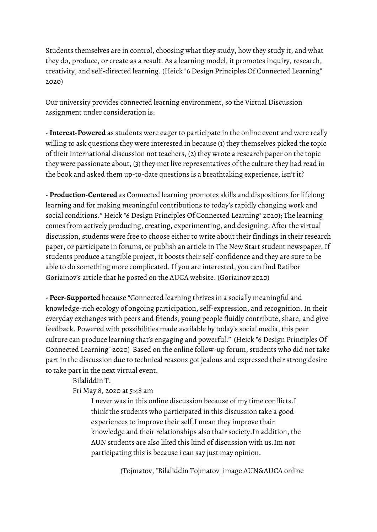Students themselves are in control, choosing what they study, how they study it, and what they do, produce, or create as a result. As a learning model, it promotes inquiry, research, creativity, and self-directed learning. (Heick "6 Design Principles Of Connected Learning" 2020)

Our university provides connected learning environment, so the Virtual Discussion assignment under consideration is:

**-Interest-Powered** as students were eager to participate in the online event and were really willing to ask questions they were interested in because (1) they themselves picked the topic of their international discussion not teachers, (2) they wrote a research paper on the topic they were passionate about, (3) they met live representatives of the culture they had read in the book and asked them up-to-date questions is a breathtaking experience, isn't it?

**- Production-Centered** as Connected learning promotes skills and dispositions for lifelong learning and for making meaningful contributions to today's rapidly changing work and social conditions." Heick "6 Design Principles Of Connected Learning" 2020); The learning comes from actively producing, creating, experimenting, and designing. After the virtual discussion, students were free to choose either to write about their findings in their research paper, or participate in forums, or publish an article in The New Start student newspaper. If students produce a tangible project, it boosts their self-confidence and they are sure to be able to do something more complicated. If you are interested, you can find Ratibor Goriainov's article that he posted on the AUCA website. (Goriainov 2020)

**- Peer-Supported** because "Connected learning thrives in a socially meaningful and knowledge-rich ecology of ongoing participation, self-expression, and recognition. In their everyday exchanges with peers and friends, young people fluidly contribute, share, and give feedback. Powered with possibilities made available by today's social media, this peer culture can produce learning that's engaging and powerful." (Heick "6 Design Principles Of Connected Learning" 2020) Based on the online follow-up forum, students who did not take part in the discussion due to technical reasons got jealous and expressed their strong desire to take part in the next virtual event.

### [Bilaliddin](https://app.schoology.com/user/87052003) T.

## Fri May 8, 2020 at 5:48 am

I never was in this online discussion because of my time conflicts.I think the students who participated in this discussion take a good experiences to improve their self.I mean they improve thair knowledge and their relationships also thair society.In addition, the AUN students are also liked this kind of discussion with us.Im not participating this is because i can say just may opinion.

(Tojmatov, "Bilaliddin Tojmatov\_image AUN&AUCA online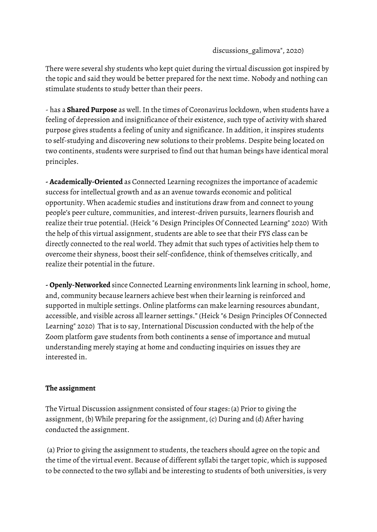### discussions\_galimova", 2020)

There were several shy students who kept quiet during the virtual discussion got inspired by the topic and said they would be better prepared for the next time. Nobody and nothing can stimulate students to study better than their peers.

- has a **Shared Purpose** as well.In the times of Coronavirus lockdown, when students have a feeling of depression and insignificance of their existence, such type of activity with shared purpose gives students a feeling of unity and significance. In addition, it inspires students to self-studying and discovering new solutions to their problems. Despite being located on two continents, students were surprised to find out that human beings have identical moral principles.

**- Academically-Oriented** as Connected Learning recognizes the importance of academic success for intellectual growth and as an avenue towards economic and political opportunity. When academic studies and institutions draw from and connect to young people's peer culture, communities, and interest-driven pursuits, learners flourish and realize their true potential. (Heick "6 Design Principles Of Connected Learning" 2020) With the help of this virtual assignment, students are able to see that their FYS class can be directly connected to the real world. They admit that such types of activities help them to overcome their shyness, boost their self-confidence, think of themselves critically, and realize their potential in the future.

**- Openly-Networked** since Connected Learning environments link learning in school, home, and, community because learners achieve best when their learning is reinforced and supported in multiple settings. Online platforms can make learning resources abundant, accessible, and visible across all learner settings." (Heick "6 Design Principles Of Connected Learning" 2020) That is to say, International Discussion conducted with the help of the Zoom platform gave students from both continents a sense of importance and mutual understanding merely staying at home and conducting inquiries on issues they are interested in.

### **The assignment**

The Virtual Discussion assignment consisted of four stages: (a) Prior to giving the assignment, (b) While preparing for the assignment, (c) During and (d) After having conducted the assignment.

(a) Prior to giving the assignment to students, the teachers should agree on the topic and the time of the virtual event. Because of different syllabi the target topic, which is supposed to be connected to the two syllabi and be interesting to students of both universities, is very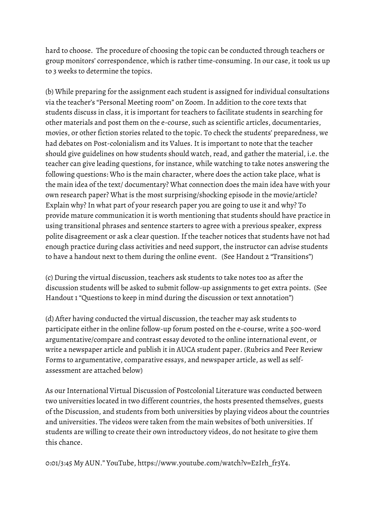hard to choose. The procedure of choosing the topic can be conducted through teachers or group monitors' correspondence, which is rather time-consuming. In our case, it took us up to 3 weeks to determine the topics.

(b) While preparing for the assignment each student is assigned for individual consultations via the teacher's "Personal Meeting room" on Zoom. In addition to the core texts that students discuss in class, it is important for teachers to facilitate students in searching for other materials and post them on the e-course, such as scientific articles, documentaries, movies, or other fiction stories related to the topic. To check the students' preparedness, we had debates on Post-colonialism and its Values. It is important to note that the teacher should give guidelines on how students should watch, read, and gather the material, i.e. the teacher can give leading questions, for instance, while watching to take notes answering the following questions: Who is the main character, where does the action take place, what is the main idea of the text/ documentary? What connection does the main idea have with your own research paper? What is the most surprising/shocking episode in the movie/article? Explain why? In what part of your research paper you are going to use it and why? To provide mature communication it is worth mentioning that students should have practice in using transitional phrases and sentence starters to agree with a previous speaker, express polite disagreement or ask a clear question. If the teacher notices that students have not had enough practice during class activities and need support, the instructor can advise students to have a handout next to them during the online event. (See Handout 2 "Transitions")

(c) During the virtual discussion, teachers ask students to take notes too as after the discussion students will be asked to submit follow-up assignments to get extra points. (See Handout 1 "Questions to keep in mind during the discussion or text annotation")

(d) After having conducted the virtual discussion, the teacher may ask students to participate either in the online follow-up forum posted on the e-course, write a 500-word argumentative/compare and contrast essay devoted to the online international event, or write a newspaper article and publish it in AUCA student paper. (Rubrics and Peer Review Forms to argumentative, comparative essays, and newspaper article, as well as selfassessment are attached below)

As our International Virtual Discussion of Postcolonial Literature was conducted between two universities located in two different countries, the hosts presented themselves, guests of the Discussion, and students from both universities by playing videos about the countries and universities. The videos were taken from the main websites of both universities. If students are willing to create their own introductory videos, do not hesitate to give them this chance.

0:01/3:45 My AUN." YouTube, https://www.youtube.com/watch?v=EzIrh\_fr3Y4.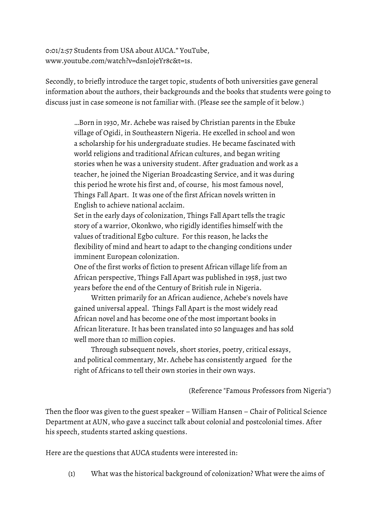0:01/2:57 Students from USA about AUCA." YouTube, www.youtube.com/watch?v=dsnIojeYr8c&t=1s.

Secondly, to briefly introduce the target topic, students of both universities gave general information about the authors, their backgrounds and the books that students were going to discuss just in case someone is not familiar with. (Please see the sample of it below.)

> …Born in 1930, Mr. Achebe was raised by Christian parents in the Ebuke village of Ogidi, in Southeastern Nigeria. He excelled in school and won a scholarship for his undergraduate studies. He became fascinated with world religions and traditional African cultures, and began writing stories when he was a university student. After graduation and work as a teacher, he joined the Nigerian Broadcasting Service, and it was during this period he wrote his first and, of course, his most famous novel, Things Fall Apart. It was one of the first African novels written in English to achieve national acclaim.

Set in the early days of colonization, Things Fall Apart tells the tragic story of a warrior, Okonkwo, who rigidly identifies himself with the values of traditional Egbo culture. For this reason, he lacks the flexibility of mind and heart to adapt to the changing conditions under imminent European colonization.

One of the first works of fiction to present African village life from an African perspective, Things Fall Apart was published in 1958, just two years before the end of the Century of British rule in Nigeria.

Written primarily for an African audience, Achebe's novels have gained universal appeal. Things Fall Apart is the most widely read African novel and has become one of the most important books in African literature. It has been translated into 50 languages and has sold well more than 10 million copies.

Through subsequent novels, short stories, poetry, critical essays, and political commentary, Mr. Achebe has consistently argued for the right of Africans to tell their own stories in their own ways.

(Reference "Famous Professors from Nigeria")

Then the floor was given to the guest speaker – William Hansen – Chair of Political Science Department at AUN, who gave a succinct talk about colonial and postcolonial times. After his speech, students started asking questions.

Here are the questions that AUCA students were interested in:

(1) What was the historical background of colonization? What were the aims of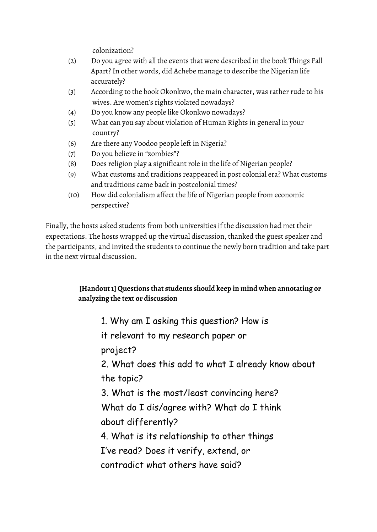colonization?

- (2) Do you agree with all the events that were described in the book Things Fall Apart? In other words, did Achebe manage to describe the Nigerian life accurately?
- (3) According to the book Okonkwo, the main character, was rather rude to his wives. Are women's rights violated nowadays?
- (4) Do you know any people like Okonkwo nowadays?
- (5) What can you say about violation of Human Rights in general in your country?
- (6) Are there any Voodoo people left in Nigeria?
- (7) Do you believe in "zombies"?
- (8) Does religion play a significant role in the life of Nigerian people?
- (9) What customs and traditions reappeared in post colonial era? What customs and traditions came back in postcolonial times?
- (10) How did colonialism affect the life of Nigerian people from economic perspective?

Finally, the hosts asked students from both universities if the discussion had met their expectations. The hosts wrapped up the virtual discussion, thanked the guest speaker and the participants, and invited the students to continue the newly born tradition and take part in the next virtual discussion.

## **[Handout1] Questions that students should keep in mind when annotating or analyzing the text or discussion**

1. Why am I asking this question? How is

it relevant to my research paper or

project?

2. What does this add to what I already know about the topic?

3. What is the most/least convincing here? What do I dis/agree with? What do I think about differently?

4. What is its relationship to other things

I've read? Does it verify, extend, or

contradict what others have said?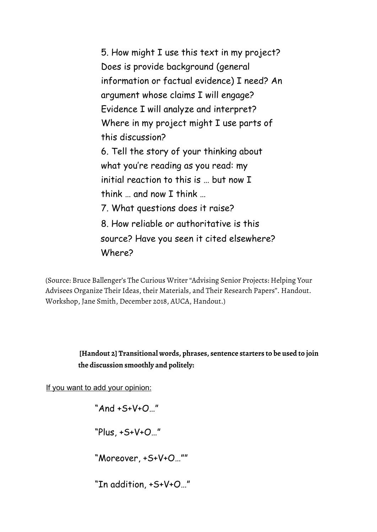5. How might I use this text in my project? Does is provide background (general information or factual evidence) I need? An argument whose claims I will engage? Evidence I will analyze and interpret? Where in my project might I use parts of this discussion? 6. Tell the story of your thinking about what you're reading as you read: my initial reaction to this is … but now I think and now I think 7. What questions does it raise? 8. How reliable or authoritative is this source? Have you seen it cited elsewhere? Where?

(Source: Bruce Ballenger's The Curious Writer "Advising Senior Projects: Helping Your Advisees Organize Their Ideas, their Materials, and Their Research Papers". Handout. Workshop, Jane Smith, December 2018, AUCA, Handout.)

## **[Handout 2] Transitional words, phrases, sentence starters to be used to join the discussion smoothly and politely:**

If you want to add your opinion:

"And +S+V+O…"

"Plus, +S+V+O…"

"Moreover, +S+V+O…""

"In addition, +S+V+O…"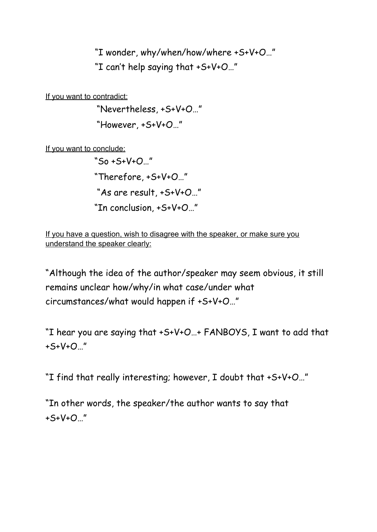"I wonder, why/when/how/where +S+V+O…" "I can't help saying that +S+V+O…"

If you want to contradict:

"Nevertheless, +S+V+O…"

"However, +S+V+O…"

If you want to conclude:

"So +S+V+O…" "Therefore, +S+V+O…" "As are result, +S+V+O…" "In conclusion, +S+V+O…"

If you have a question, wish to disagree with the speaker, or make sure you understand the speaker clearly:

"Although the idea of the author/speaker may seem obvious, it still remains unclear how/why/in what case/under what circumstances/what would happen if +S+V+O…"

"I hear you are saying that +S+V+O…+ FANBOYS, I want to add that +S+V+O…"

"I find that really interesting; however, I doubt that +S+V+O…"

"In other words, the speaker/the author wants to say that +S+V+O…"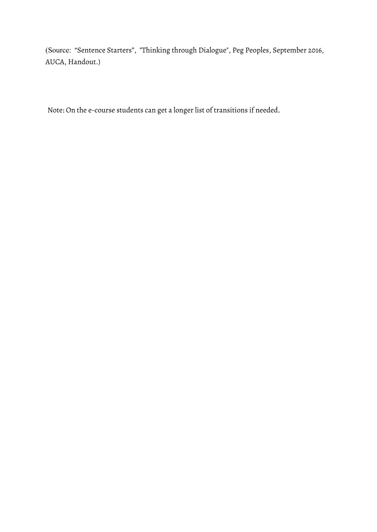(Source: "Sentence Starters", "Thinking through Dialogue", Peg Peoples, September 2016, AUCA, Handout.)

Note: On the e-course students can get a longer list of transitions if needed.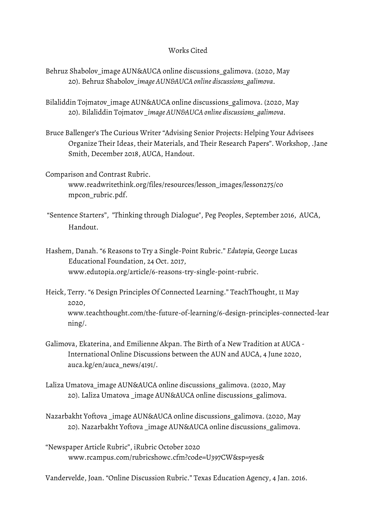### Works Cited

- Behruz Shabolov\_image AUN&AUCA online discussions\_galimova. (2020, May 20). Behruz Shabolov*\_image AUN&AUCA online discussions\_galimova*.
- Bilaliddin Tojmatov image AUN&AUCA online discussions galimova. (2020, May 20). Bilaliddin Tojmatov *\_image AUN&AUCA online discussions\_galimova*.
- Bruce Ballenger's The Curious Writer "Advising Senior Projects: Helping Your Advisees Organize Their Ideas, their Materials, and Their Research Papers". Workshop, .Jane Smith, December 2018, AUCA, Handout.
- Comparison and Contrast Rubric. www.readwritethink.org/files/resources/lesson\_images/lesson275/co mpcon\_rubric.pdf.
- "Sentence Starters", "Thinking through Dialogue", Peg Peoples, September 2016, AUCA, Handout.
- Hashem, Danah. "6 Reasons to Try a Single-Point Rubric." *Edutopia,* George Lucas Educational Foundation, 24 Oct. 2017, www.edutopia.org/article/6-reasons-try-single-point-rubric.
- Heick, Terry. "6 Design Principles Of Connected Learning." TeachThought, 11 May 2020, www.teachthought.com/the-future-of-learning/6-design-principles-connected-lear ning/.
- Galimova, Ekaterina, and Emilienne Akpan. The Birth of a New Tradition at AUCA International Online Discussions between the AUN and AUCA, 4 June 2020, auca.kg/en/auca\_news/4191/.
- Laliza Umatova\_image AUN&AUCA online discussions\_galimova. (2020, May 20). Laliza Umatova \_image AUN&AUCA online discussions\_galimova.
- Nazarbakht Yoftova \_image AUN&AUCA online discussions\_galimova. (2020, May 20). Nazarbakht Yoftova \_image AUN&AUCA online discussions\_galimova.
- "Newspaper Article Rubric", iRubric October 2020 www.rcampus.com/rubricshowc.cfm?code=U397CW&sp=yes&

Vandervelde, Joan. "Online Discussion Rubric." Texas Education Agency, 4 Jan. 2016.